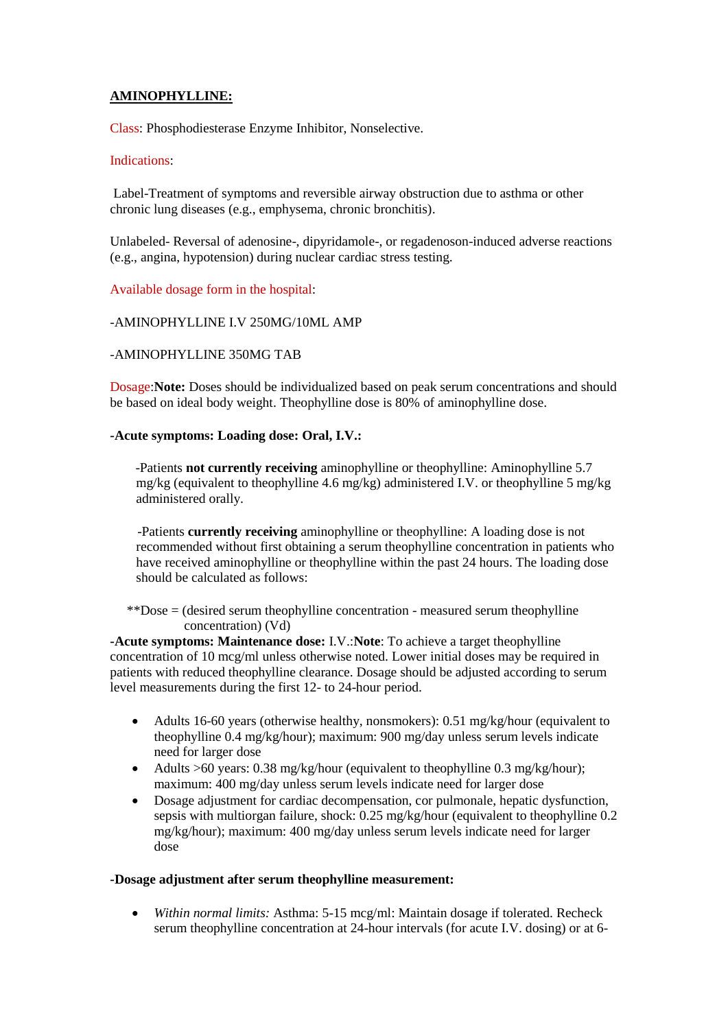# **AMINOPHYLLINE:**

Class: Phosphodiesterase Enzyme Inhibitor, Nonselective.

#### Indications:

Label-Treatment of symptoms and reversible airway obstruction due to asthma or other chronic lung diseases (e.g., emphysema, chronic bronchitis).

Unlabeled- Reversal of adenosine-, dipyridamole-, or regadenoson-induced adverse reactions (e.g., angina, hypotension) during nuclear cardiac stress testing.

Available dosage form in the hospital:

#### -AMINOPHYLLINE I.V 250MG/10ML AMP

## -AMINOPHYLLINE 350MG TAB

Dosage:**Note:** Doses should be individualized based on peak serum concentrations and should be based on ideal body weight. Theophylline dose is 80% of aminophylline dose.

#### **-Acute symptoms: Loading dose: Oral, I.V.:**

 -Patients **not currently receiving** aminophylline or theophylline: Aminophylline 5.7 mg/kg (equivalent to theophylline 4.6 mg/kg) administered I.V. or theophylline 5 mg/kg administered orally.

 -Patients **currently receiving** aminophylline or theophylline: A loading dose is not recommended without first obtaining a serum theophylline concentration in patients who have received aminophylline or theophylline within the past 24 hours. The loading dose should be calculated as follows:

 \*\*Dose = (desired serum theophylline concentration - measured serum theophylline concentration) (Vd)

**-Acute symptoms: Maintenance dose:** I.V.:**Note**: To achieve a target theophylline concentration of 10 mcg/ml unless otherwise noted. Lower initial doses may be required in patients with reduced theophylline clearance. Dosage should be adjusted according to serum level measurements during the first 12- to 24-hour period.

- Adults 16-60 years (otherwise healthy, nonsmokers): 0.51 mg/kg/hour (equivalent to theophylline 0.4 mg/kg/hour); maximum: 900 mg/day unless serum levels indicate need for larger dose
- Adults  $>60$  years: 0.38 mg/kg/hour (equivalent to theophylline 0.3 mg/kg/hour); maximum: 400 mg/day unless serum levels indicate need for larger dose
- Dosage adjustment for cardiac decompensation, cor pulmonale, hepatic dysfunction, sepsis with multiorgan failure, shock: 0.25 mg/kg/hour (equivalent to theophylline 0.2 mg/kg/hour); maximum: 400 mg/day unless serum levels indicate need for larger dose

#### **-Dosage adjustment after serum theophylline measurement:**

 *Within normal limits:* Asthma: 5-15 mcg/ml: Maintain dosage if tolerated. Recheck serum theophylline concentration at 24-hour intervals (for acute I.V. dosing) or at 6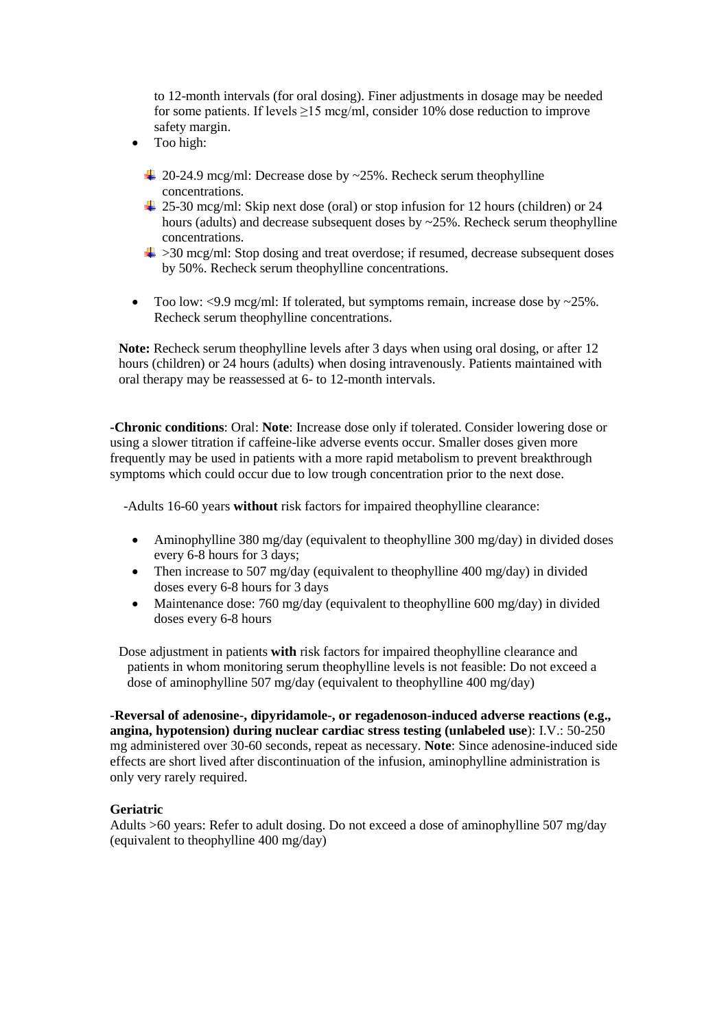to 12-month intervals (for oral dosing). Finer adjustments in dosage may be needed for some patients. If levels  $\geq$ 15 mcg/ml, consider 10% dose reduction to improve safety margin.

- Too high:
	- $\pm$  20-24.9 mcg/ml: Decrease dose by ~25%. Recheck serum theophylline concentrations.
	- $\pm$  25-30 mcg/ml: Skip next dose (oral) or stop infusion for 12 hours (children) or 24 hours (adults) and decrease subsequent doses by ~25%. Recheck serum theophylline concentrations.
	- $\div$  >30 mcg/ml: Stop dosing and treat overdose; if resumed, decrease subsequent doses by 50%. Recheck serum theophylline concentrations.
- Too low:  $\langle 9.9 \text{ mcg/ml}$ : If tolerated, but symptoms remain, increase dose by  $\sim 25\%$ . Recheck serum theophylline concentrations.

**Note:** Recheck serum theophylline levels after 3 days when using oral dosing, or after 12 hours (children) or 24 hours (adults) when dosing intravenously. Patients maintained with oral therapy may be reassessed at 6- to 12-month intervals.

**-Chronic conditions**: Oral: **Note**: Increase dose only if tolerated. Consider lowering dose or using a slower titration if caffeine-like adverse events occur. Smaller doses given more frequently may be used in patients with a more rapid metabolism to prevent breakthrough symptoms which could occur due to low trough concentration prior to the next dose.

-Adults 16-60 years **without** risk factors for impaired theophylline clearance:

- Aminophylline 380 mg/day (equivalent to theophylline 300 mg/day) in divided doses every 6-8 hours for 3 days;
- Then increase to 507 mg/day (equivalent to the ophylline 400 mg/day) in divided doses every 6-8 hours for 3 days
- Maintenance dose: 760 mg/day (equivalent to theophylline 600 mg/day) in divided doses every 6-8 hours

Dose adjustment in patients **with** risk factors for impaired theophylline clearance and patients in whom monitoring serum theophylline levels is not feasible: Do not exceed a dose of aminophylline 507 mg/day (equivalent to theophylline 400 mg/day)

**-Reversal of adenosine-, dipyridamole-, or regadenoson-induced adverse reactions (e.g., angina, hypotension) during nuclear cardiac stress testing (unlabeled use**): I.V.: 50-250 mg administered over 30-60 seconds, repeat as necessary. **Note**: Since adenosine-induced side effects are short lived after discontinuation of the infusion, aminophylline administration is only very rarely required.

#### **Geriatric**

Adults >60 years: Refer to adult dosing. Do not exceed a dose of aminophylline 507 mg/day (equivalent to theophylline 400 mg/day)